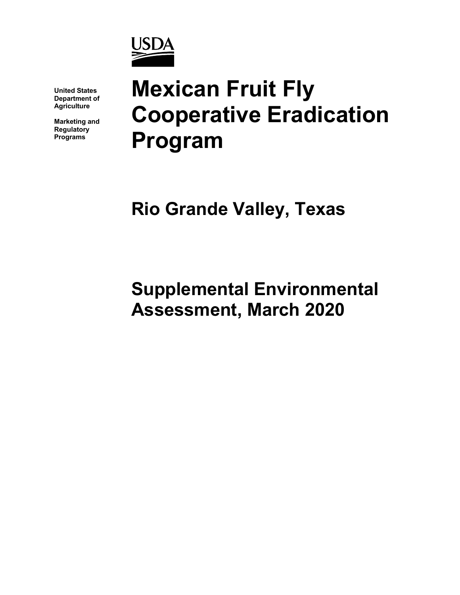

**United States Department of Agriculture**

**Marketing and Regulatory Programs**

# **Mexican Fruit Fly Cooperative Eradication Program**

**Rio Grande Valley, Texas**

**Supplemental Environmental Assessment, March 2020**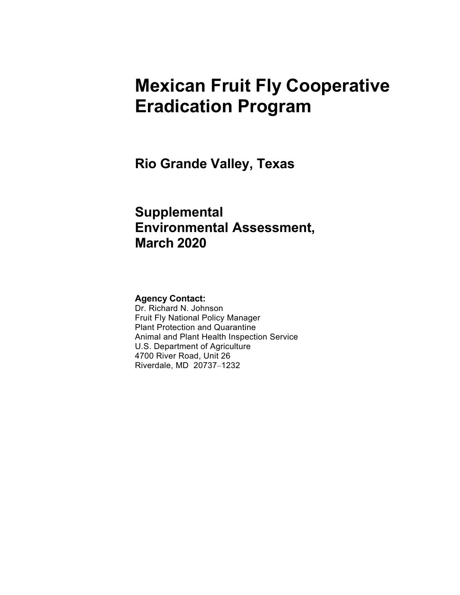# **Mexican Fruit Fly Cooperative Eradication Program**

**Rio Grande Valley, Texas**

# **Supplemental Environmental Assessment, March 2020**

#### **Agency Contact:**

Dr. Richard N. Johnson Fruit Fly National Policy Manager Plant Protection and Quarantine Animal and Plant Health Inspection Service U.S. Department of Agriculture 4700 River Road, Unit 26 Riverdale, MD 20737–1232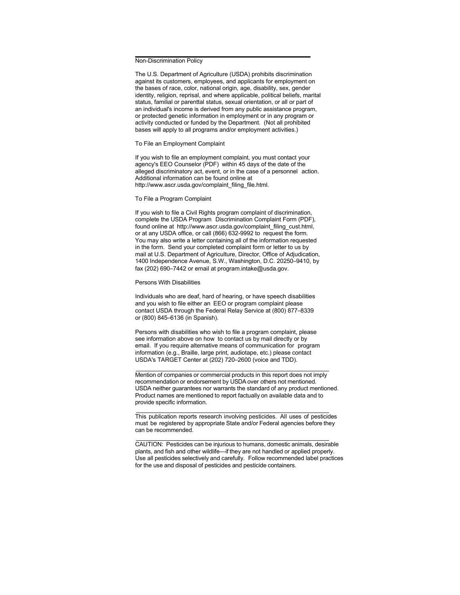Non-Discrimination Policy

The U.S. Department of Agriculture (USDA) prohibits discrimination against its customers, employees, and applicants for employment on the bases of race, color, national origin, age, disability, sex, gender identity, religion, reprisal, and where applicable, political beliefs, marital status, familial or parenttal status, sexual orientation, or all or part of an individual's income is derived from any public assistance program, or protected genetic information in employment or in any program or activity conducted or funded by the Department. (Not all prohibited bases will apply to all programs and/or employment activities.)

To File an Employment Complaint

If you wish to file an employment complaint, you must contact your agency's EEO Counselor (PDF) within 45 days of the date of the alleged discriminatory act, event, or in the case of a personnel action. Additional information can be found online at [http://www.ascr.usda.gov/complaint\\_filing\\_file.html.](http://www.ascr.usda.gov/complaint_filing_file.html)

To File a Program Complaint

If you wish to file a Civil Rights program complaint of discrimination. complete the USDA Program Discrimination Complaint Form (PDF), found online at [http://www.ascr.usda.gov/complaint\\_filing\\_cust.html,](http://www.ascr.usda.gov/complaint_filing_cust.html) or at any USDA office, or call (866) 632-9992 to request the form. You may also write a letter containing all of the information requested in the form. Send your completed complaint form or letter to us by mail at U.S. Department of Agriculture, Director, Office of Adjudication, 1400 Independence Avenue, S.W., Washington, D.C. 20250–9410, by fax (202) 690–7442 or email at [program.intake@usda.gov.](mailto:program.intake@usda.gov)

Persons With Disabilities

Individuals who are deaf, hard of hearing, or have speech disabilities and you wish to file either an EEO or program complaint please contact USDA through the Federal Relay Service at (800) 877–8339 or (800) 845–6136 (in Spanish).

Persons with disabilities who wish to file a program complaint, please see information above on how to contact us by mail directly or by email. If you require alternative means of communication for program information (e.g., Braille, large print, audiotape, etc.) please contact USDA's TARGET Center at (202) 720–2600 (voice and TDD).

Mention of companies or commercial products in this report does not imply recommendation or endorsement by USDA over others not mentioned. USDA neither guarantees nor warrants the standard of any product mentioned. Product names are mentioned to report factually on available data and to provide specific information.

This publication reports research involving pesticides. All uses of pesticides must be registered by appropriate State and/or Federal agencies before they can be recommended.

CAUTION: Pesticides can be injurious to humans, domestic animals, desirable plants, and fish and other wildlife—if they are not handled or applied properly. Use all pesticides selectively and carefully. Follow recommended label practices for the use and disposal of pesticides and pesticide containers.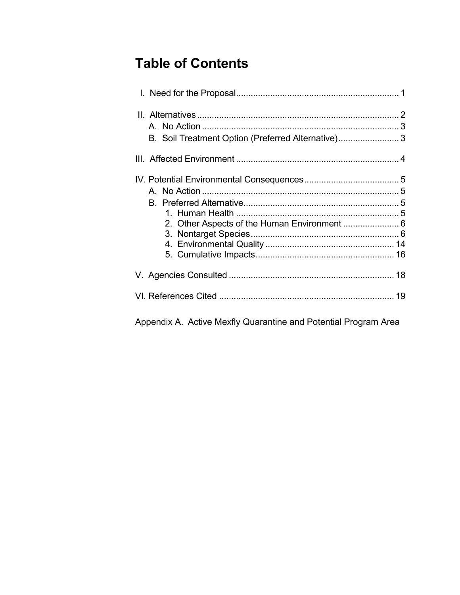# **Table of Contents**

| B. Soil Treatment Option (Preferred Alternative) 3 |  |
|----------------------------------------------------|--|
|                                                    |  |
|                                                    |  |
|                                                    |  |
|                                                    |  |
|                                                    |  |
| 2. Other Aspects of the Human Environment  6       |  |
|                                                    |  |
|                                                    |  |
|                                                    |  |
|                                                    |  |
|                                                    |  |
|                                                    |  |

Appendix A. Active Mexfly Quarantine and Potential Program Area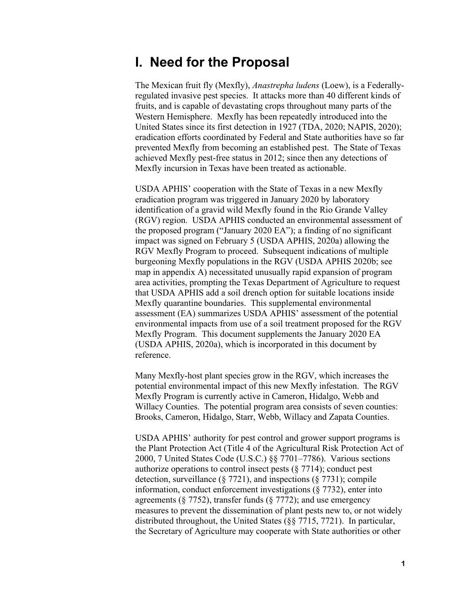### **I. Need for the Proposal**

The Mexican fruit fly (Mexfly), *Anastrepha ludens* (Loew), is a Federallyregulated invasive pest species. It attacks more than 40 different kinds of fruits, and is capable of devastating crops throughout many parts of the Western Hemisphere. Mexfly has been repeatedly introduced into the United States since its first detection in 1927 (TDA, 2020; NAPIS, 2020); eradication efforts coordinated by Federal and State authorities have so far prevented Mexfly from becoming an established pest. The State of Texas achieved Mexfly pest-free status in 2012; since then any detections of Mexfly incursion in Texas have been treated as actionable.

USDA APHIS' cooperation with the State of Texas in a new Mexfly eradication program was triggered in January 2020 by laboratory identification of a gravid wild Mexfly found in the Rio Grande Valley (RGV) region. USDA APHIS conducted an environmental assessment of the proposed program ("January 2020 EA"); a finding of no significant impact was signed on February 5 (USDA APHIS, 2020a) allowing the RGV Mexfly Program to proceed. Subsequent indications of multiple burgeoning Mexfly populations in the RGV (USDA APHIS 2020b; see map in appendix A) necessitated unusually rapid expansion of program area activities, prompting the Texas Department of Agriculture to request that USDA APHIS add a soil drench option for suitable locations inside Mexfly quarantine boundaries. This supplemental environmental assessment (EA) summarizes USDA APHIS' assessment of the potential environmental impacts from use of a soil treatment proposed for the RGV Mexfly Program. This document supplements the January 2020 EA (USDA APHIS, 2020a), which is incorporated in this document by reference.

Many Mexfly-host plant species grow in the RGV, which increases the potential environmental impact of this new Mexfly infestation. The RGV Mexfly Program is currently active in Cameron, Hidalgo, Webb and Willacy Counties. The potential program area consists of seven counties: Brooks, Cameron, Hidalgo, Starr, Webb, Willacy and Zapata Counties.

USDA APHIS' authority for pest control and grower support programs is the Plant Protection Act (Title 4 of the Agricultural Risk Protection Act of 2000, 7 United States Code (U.S.C.) §§ 7701–7786). Various sections authorize operations to control insect pests (§ 7714); conduct pest detection, surveillance (§ 7721), and inspections (§ 7731); compile information, conduct enforcement investigations (§ 7732), enter into agreements ( $\S$  7752), transfer funds ( $\S$  7772); and use emergency measures to prevent the dissemination of plant pests new to, or not widely distributed throughout, the United States (§§ 7715, 7721). In particular, the Secretary of Agriculture may cooperate with State authorities or other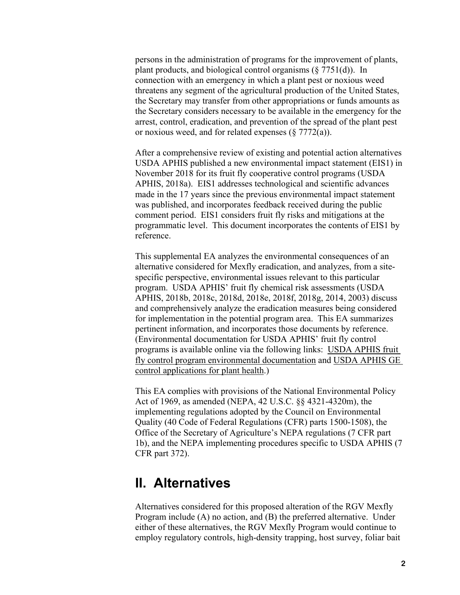persons in the administration of programs for the improvement of plants, plant products, and biological control organisms (§ 7751(d)). In connection with an emergency in which a plant pest or noxious weed threatens any segment of the agricultural production of the United States, the Secretary may transfer from other appropriations or funds amounts as the Secretary considers necessary to be available in the emergency for the arrest, control, eradication, and prevention of the spread of the plant pest or noxious weed, and for related expenses  $(\S 7772(a))$ .

After a comprehensive review of existing and potential action alternatives USDA APHIS published a new environmental impact statement (EIS1) in November 2018 for its fruit fly cooperative control programs (USDA APHIS, 2018a). EIS1 addresses technological and scientific advances made in the 17 years since the previous environmental impact statement was published, and incorporates feedback received during the public comment period. EIS1 considers fruit fly risks and mitigations at the programmatic level. This document incorporates the contents of EIS1 by reference.

This supplemental EA analyzes the environmental consequences of an alternative considered for Mexfly eradication, and analyzes, from a sitespecific perspective, environmental issues relevant to this particular program. USDA APHIS' fruit fly chemical risk assessments (USDA APHIS, 2018b, 2018c, 2018d, 2018e, 2018f, 2018g, 2014, 2003) discuss and comprehensively analyze the eradication measures being considered for implementation in the potential program area. This EA summarizes pertinent information, and incorporates those documents by reference. (Environmental documentation for USDA APHIS' fruit fly control programs is available online via the following links: [USDA APHIS fruit](https://www.aphis.usda.gov/aphis/ourfocus/planthealth/plant-pest-and-disease-programs/sa_environmental_assessments/ct_fruitfly)  [fly control program environmental documentation](https://www.aphis.usda.gov/aphis/ourfocus/planthealth/plant-pest-and-disease-programs/sa_environmental_assessments/ct_fruitfly) and USDA APHIS GE [control applications for plant health.](http://www.aphis.usda.gov/plant_health/ea/downloads/eis-gen-pbw-ff.pdf))

This EA complies with provisions of the National Environmental Policy Act of 1969, as amended (NEPA, 42 U.S.C. §§ 4321-4320m), the implementing regulations adopted by the Council on Environmental Quality (40 Code of Federal Regulations (CFR) parts 1500-1508), the Office of the Secretary of Agriculture's NEPA regulations (7 CFR part 1b), and the NEPA implementing procedures specific to USDA APHIS (7 CFR part 372).

### **II. Alternatives**

Alternatives considered for this proposed alteration of the RGV Mexfly Program include (A) no action, and (B) the preferred alternative. Under either of these alternatives, the RGV Mexfly Program would continue to employ regulatory controls, high-density trapping, host survey, foliar bait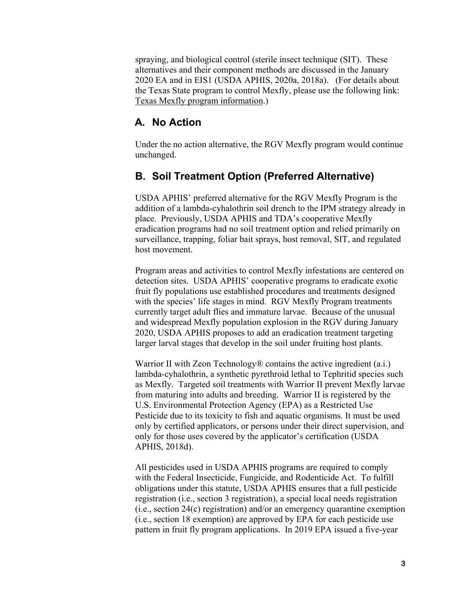spraying, and biological control (sterile insect technique (SIT). These alternatives and their component methods are discussed in the January 2020 EA and in EIS1 (USDA APHIS, 2020a, 2018a). (For details about the Texas State program to control Mexfly, please use the following link: [Texas Mexfly program information.](https://www.texasagriculture.gov/RegulatoryPrograms/PlantQuality/PestandDiseaseAlerts/MexicanFruitFly.aspx))

#### **A. No Action**

Under the no action alternative, the RGV Mexfly program would continue unchanged.

#### **B. Soil Treatment Option (Preferred Alternative)**

USDA APHIS' preferred alternative for the RGV Mexfly Program is the addition of a lambda-cyhalothrin soil drench to the IPM strategy already in place. Previously, USDA APHIS and TDA's cooperative Mexfly eradication programs had no soil treatment option and relied primarily on surveillance, trapping, foliar bait sprays, host removal, SIT, and regulated host movement.

Program areas and activities to control Mexfly infestations are centered on detection sites. USDA APHIS' cooperative programs to eradicate exotic fruit fly populations use established procedures and treatments designed with the species' life stages in mind. RGV Mexfly Program treatments currently target adult flies and immature larvae. Because of the unusual and widespread Mexfly population explosion in the RGV during January 2020, USDA APHIS proposes to add an eradication treatment targeting larger larval stages that develop in the soil under fruiting host plants.

Warrior II with Zeon Technology<sup>®</sup> contains the active ingredient (a.i.) lambda-cyhalothrin, a synthetic pyrethroid lethal to Tephritid species such as Mexfly. Targeted soil treatments with Warrior II prevent Mexfly larvae from maturing into adults and breeding. Warrior II is registered by the U.S. Environmental Protection Agency (EPA) as a Restricted Use Pesticide due to its toxicity to fish and aquatic organisms. It must be used only by certified applicators, or persons under their direct supervision, and only for those uses covered by the applicator's certification (USDA APHIS, 2018d).

All pesticides used in USDA APHIS programs are required to comply with the Federal Insecticide, Fungicide, and Rodenticide Act. To fulfill obligations under this statute, USDA APHIS ensures that a full pesticide registration (i.e., section 3 registration), a special local needs registration (i.e., section 24(c) registration) and/or an emergency quarantine exemption (i.e., section 18 exemption) are approved by EPA for each pesticide use pattern in fruit fly program applications. In 2019 EPA issued a five-year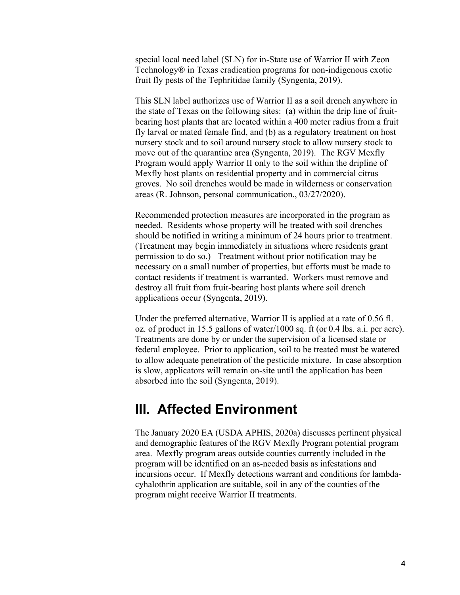special local need label (SLN) for in-State use of Warrior II with Zeon Technology® in Texas eradication programs for non-indigenous exotic fruit fly pests of the Tephritidae family (Syngenta, 2019).

This SLN label authorizes use of Warrior II as a soil drench anywhere in the state of Texas on the following sites: (a) within the drip line of fruitbearing host plants that are located within a 400 meter radius from a fruit fly larval or mated female find, and (b) as a regulatory treatment on host nursery stock and to soil around nursery stock to allow nursery stock to move out of the quarantine area (Syngenta, 2019). The RGV Mexfly Program would apply Warrior II only to the soil within the dripline of Mexfly host plants on residential property and in commercial citrus groves. No soil drenches would be made in wilderness or conservation areas (R. Johnson, personal communication., 03/27/2020).

Recommended protection measures are incorporated in the program as needed. Residents whose property will be treated with soil drenches should be notified in writing a minimum of 24 hours prior to treatment. (Treatment may begin immediately in situations where residents grant permission to do so.) Treatment without prior notification may be necessary on a small number of properties, but efforts must be made to contact residents if treatment is warranted. Workers must remove and destroy all fruit from fruit-bearing host plants where soil drench applications occur (Syngenta, 2019).

Under the preferred alternative, Warrior II is applied at a rate of 0.56 fl. oz. of product in 15.5 gallons of water/1000 sq. ft (or 0.4 lbs. a.i. per acre). Treatments are done by or under the supervision of a licensed state or federal employee. Prior to application, soil to be treated must be watered to allow adequate penetration of the pesticide mixture. In case absorption is slow, applicators will remain on-site until the application has been absorbed into the soil (Syngenta, 2019).

### **III. Affected Environment**

The January 2020 EA (USDA APHIS, 2020a) discusses pertinent physical and demographic features of the RGV Mexfly Program potential program area. Mexfly program areas outside counties currently included in the program will be identified on an as-needed basis as infestations and incursions occur. If Mexfly detections warrant and conditions for lambdacyhalothrin application are suitable, soil in any of the counties of the program might receive Warrior II treatments.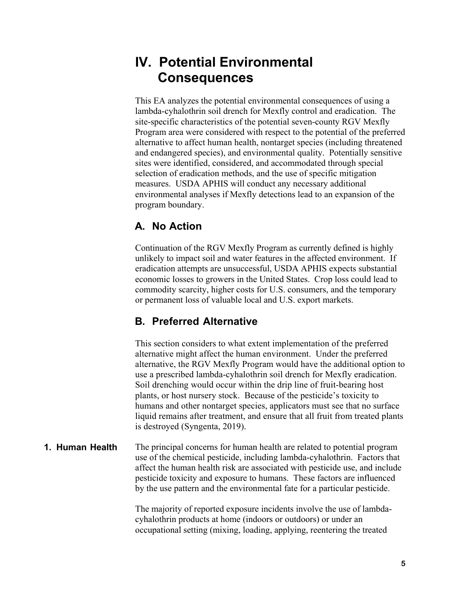## **IV. Potential Environmental Consequences**

This EA analyzes the potential environmental consequences of using a lambda-cyhalothrin soil drench for Mexfly control and eradication. The site-specific characteristics of the potential seven-county RGV Mexfly Program area were considered with respect to the potential of the preferred alternative to affect human health, nontarget species (including threatened and endangered species), and environmental quality. Potentially sensitive sites were identified, considered, and accommodated through special selection of eradication methods, and the use of specific mitigation measures. USDA APHIS will conduct any necessary additional environmental analyses if Mexfly detections lead to an expansion of the program boundary.

### **A. No Action**

Continuation of the RGV Mexfly Program as currently defined is highly unlikely to impact soil and water features in the affected environment. If eradication attempts are unsuccessful, USDA APHIS expects substantial economic losses to growers in the United States. Crop loss could lead to commodity scarcity, higher costs for U.S. consumers, and the temporary or permanent loss of valuable local and U.S. export markets.

### **B. Preferred Alternative**

This section considers to what extent implementation of the preferred alternative might affect the human environment. Under the preferred alternative, the RGV Mexfly Program would have the additional option to use a prescribed lambda-cyhalothrin soil drench for Mexfly eradication. Soil drenching would occur within the drip line of fruit-bearing host plants, or host nursery stock. Because of the pesticide's toxicity to humans and other nontarget species, applicators must see that no surface liquid remains after treatment, and ensure that all fruit from treated plants is destroyed (Syngenta, 2019).

#### **1. Human Health**

The principal concerns for human health are related to potential program use of the chemical pesticide, including lambda-cyhalothrin. Factors that affect the human health risk are associated with pesticide use, and include pesticide toxicity and exposure to humans. These factors are influenced by the use pattern and the environmental fate for a particular pesticide.

The majority of reported exposure incidents involve the use of lambdacyhalothrin products at home (indoors or outdoors) or under an occupational setting (mixing, loading, applying, reentering the treated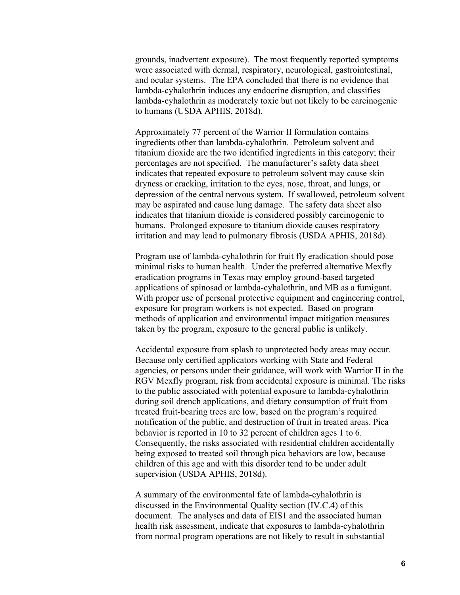grounds, inadvertent exposure). The most frequently reported symptoms were associated with dermal, respiratory, neurological, gastrointestinal, and ocular systems. The EPA concluded that there is no evidence that lambda-cyhalothrin induces any endocrine disruption, and classifies lambda-cyhalothrin as moderately toxic but not likely to be carcinogenic to humans (USDA APHIS, 2018d).

Approximately 77 percent of the Warrior II formulation contains ingredients other than lambda-cyhalothrin. Petroleum solvent and titanium dioxide are the two identified ingredients in this category; their percentages are not specified. The manufacturer's safety data sheet indicates that repeated exposure to petroleum solvent may cause skin dryness or cracking, irritation to the eyes, nose, throat, and lungs, or depression of the central nervous system. If swallowed, petroleum solvent may be aspirated and cause lung damage. The safety data sheet also indicates that titanium dioxide is considered possibly carcinogenic to humans. Prolonged exposure to titanium dioxide causes respiratory irritation and may lead to pulmonary fibrosis (USDA APHIS, 2018d).

Program use of lambda-cyhalothrin for fruit fly eradication should pose minimal risks to human health. Under the preferred alternative Mexfly eradication programs in Texas may employ ground-based targeted applications of spinosad or lambda-cyhalothrin, and MB as a fumigant. With proper use of personal protective equipment and engineering control, exposure for program workers is not expected. Based on program methods of application and environmental impact mitigation measures taken by the program, exposure to the general public is unlikely.

Accidental exposure from splash to unprotected body areas may occur. Because only certified applicators working with State and Federal agencies, or persons under their guidance, will work with Warrior II in the RGV Mexfly program, risk from accidental exposure is minimal. The risks to the public associated with potential exposure to lambda-cyhalothrin during soil drench applications, and dietary consumption of fruit from treated fruit-bearing trees are low, based on the program's required notification of the public, and destruction of fruit in treated areas. Pica behavior is reported in 10 to 32 percent of children ages 1 to 6. Consequently, the risks associated with residential children accidentally being exposed to treated soil through pica behaviors are low, because children of this age and with this disorder tend to be under adult supervision (USDA APHIS, 2018d).

A summary of the environmental fate of lambda-cyhalothrin is discussed in the Environmental Quality section (IV.C.4) of this document. The analyses and data of EIS1 and the associated human health risk assessment, indicate that exposures to lambda-cyhalothrin from normal program operations are not likely to result in substantial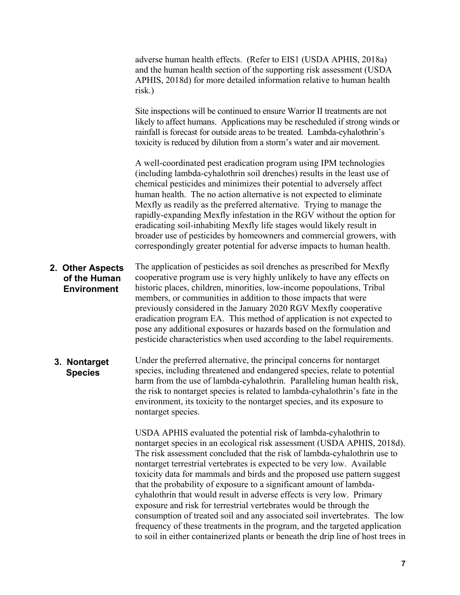adverse human health effects. (Refer to EIS1 (USDA APHIS, 2018a) and the human health section of the supporting risk assessment (USDA APHIS, 2018d) for more detailed information relative to human health risk.) Site inspections will be continued to ensure Warrior II treatments are not likely to affect humans. Applications may be rescheduled if strong winds or rainfall is forecast for outside areas to be treated. Lambda-cyhalothrin's toxicity is reduced by dilution from a storm's water and air movement. A well-coordinated pest eradication program using IPM technologies (including lambda-cyhalothrin soil drenches) results in the least use of chemical pesticides and minimizes their potential to adversely affect human health. The no action alternative is not expected to eliminate Mexfly as readily as the preferred alternative. Trying to manage the rapidly-expanding Mexfly infestation in the RGV without the option for eradicating soil-inhabiting Mexfly life stages would likely result in broader use of pesticides by homeowners and commercial growers, with correspondingly greater potential for adverse impacts to human health. The application of pesticides as soil drenches as prescribed for Mexfly cooperative program use is very highly unlikely to have any effects on historic places, children, minorities, low-income popoulations, Tribal members, or communities in addition to those impacts that were previously considered in the January 2020 RGV Mexfly cooperative eradication program EA. This method of application is not expected to pose any additional exposures or hazards based on the formulation and pesticide characteristics when used according to the label requirements. Under the preferred alternative, the principal concerns for nontarget species, including threatened and endangered species, relate to potential harm from the use of lambda-cyhalothrin. Paralleling human health risk, the risk to nontarget species is related to lambda-cyhalothrin's fate in the environment, its toxicity to the nontarget species, and its exposure to nontarget species. **2. Other Aspects of the Human Environment 3. Nontarget Species**

> USDA APHIS evaluated the potential risk of lambda-cyhalothrin to nontarget species in an ecological risk assessment (USDA APHIS, 2018d). The risk assessment concluded that the risk of lambda-cyhalothrin use to nontarget terrestrial vertebrates is expected to be very low. Available toxicity data for mammals and birds and the proposed use pattern suggest that the probability of exposure to a significant amount of lambdacyhalothrin that would result in adverse effects is very low. Primary exposure and risk for terrestrial vertebrates would be through the consumption of treated soil and any associated soil invertebrates. The low frequency of these treatments in the program, and the targeted application to soil in either containerized plants or beneath the drip line of host trees in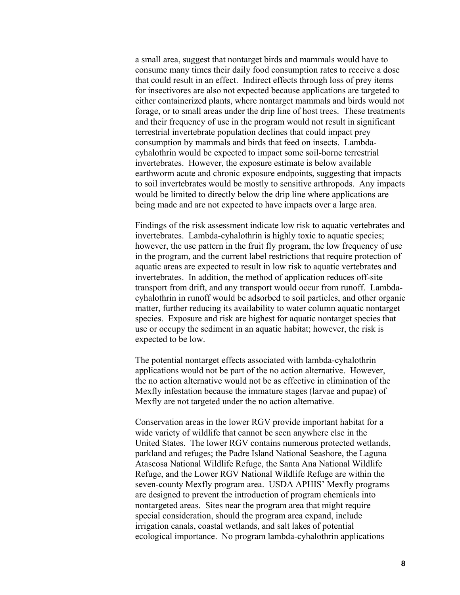a small area, suggest that nontarget birds and mammals would have to consume many times their daily food consumption rates to receive a dose that could result in an effect. Indirect effects through loss of prey items for insectivores are also not expected because applications are targeted to either containerized plants, where nontarget mammals and birds would not forage, or to small areas under the drip line of host trees. These treatments and their frequency of use in the program would not result in significant terrestrial invertebrate population declines that could impact prey consumption by mammals and birds that feed on insects. Lambdacyhalothrin would be expected to impact some soil-borne terrestrial invertebrates. However, the exposure estimate is below available earthworm acute and chronic exposure endpoints, suggesting that impacts to soil invertebrates would be mostly to sensitive arthropods. Any impacts would be limited to directly below the drip line where applications are being made and are not expected to have impacts over a large area.

Findings of the risk assessment indicate low risk to aquatic vertebrates and invertebrates. Lambda-cyhalothrin is highly toxic to aquatic species; however, the use pattern in the fruit fly program, the low frequency of use in the program, and the current label restrictions that require protection of aquatic areas are expected to result in low risk to aquatic vertebrates and invertebrates. In addition, the method of application reduces off-site transport from drift, and any transport would occur from runoff. Lambdacyhalothrin in runoff would be adsorbed to soil particles, and other organic matter, further reducing its availability to water column aquatic nontarget species. Exposure and risk are highest for aquatic nontarget species that use or occupy the sediment in an aquatic habitat; however, the risk is expected to be low.

The potential nontarget effects associated with lambda-cyhalothrin applications would not be part of the no action alternative. However, the no action alternative would not be as effective in elimination of the Mexfly infestation because the immature stages (larvae and pupae) of Mexfly are not targeted under the no action alternative.

Conservation areas in the lower RGV provide important habitat for a wide variety of wildlife that cannot be seen anywhere else in the United States. The lower RGV contains numerous protected wetlands, parkland and refuges; the Padre Island National Seashore, the Laguna Atascosa National Wildlife Refuge, the Santa Ana National Wildlife Refuge, and the Lower RGV National Wildlife Refuge are within the seven-county Mexfly program area. USDA APHIS' Mexfly programs are designed to prevent the introduction of program chemicals into nontargeted areas. Sites near the program area that might require special consideration, should the program area expand, include irrigation canals, coastal wetlands, and salt lakes of potential ecological importance. No program lambda-cyhalothrin applications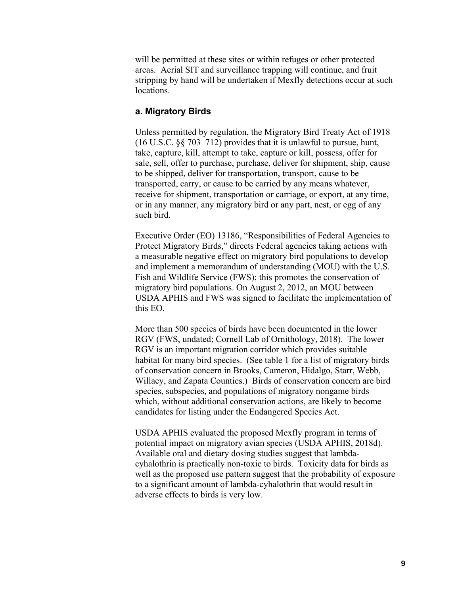will be permitted at these sites or within refuges or other protected areas. Aerial SIT and surveillance trapping will continue, and fruit stripping by hand will be undertaken if Mexfly detections occur at such locations.

#### **a. Migratory Birds**

Unless permitted by regulation, the Migratory Bird Treaty Act of 1918 (16 U.S.C. §§ 703–712) provides that it is unlawful to pursue, hunt, take, capture, kill, attempt to take, capture or kill, possess, offer for sale, sell, offer to purchase, purchase, deliver for shipment, ship, cause to be shipped, deliver for transportation, transport, cause to be transported, carry, or cause to be carried by any means whatever, receive for shipment, transportation or carriage, or export, at any time, or in any manner, any migratory bird or any part, nest, or egg of any such bird.

Executive Order (EO) 13186, "Responsibilities of Federal Agencies to Protect Migratory Birds," directs Federal agencies taking actions with a measurable negative effect on migratory bird populations to develop and implement a memorandum of understanding (MOU) with the U.S. Fish and Wildlife Service (FWS); this promotes the conservation of migratory bird populations. On August 2, 2012, an MOU between USDA APHIS and FWS was signed to facilitate the implementation of this EO.

More than 500 species of birds have been documented in the lower RGV (FWS, undated; Cornell Lab of Ornithology, 2018). The lower RGV is an important migration corridor which provides suitable habitat for many bird species. (See table 1 for a list of migratory birds of conservation concern in Brooks, Cameron, Hidalgo, Starr, Webb, Willacy, and Zapata Counties.) Birds of conservation concern are bird species, subspecies, and populations of migratory nongame birds which, without additional conservation actions, are likely to become candidates for listing under the Endangered Species Act.

USDA APHIS evaluated the proposed Mexfly program in terms of potential impact on migratory avian species (USDA APHIS, 2018d). Available oral and dietary dosing studies suggest that lambdacyhalothrin is practically non-toxic to birds. Toxicity data for birds as well as the proposed use pattern suggest that the probability of exposure to a significant amount of lambda-cyhalothrin that would result in adverse effects to birds is very low.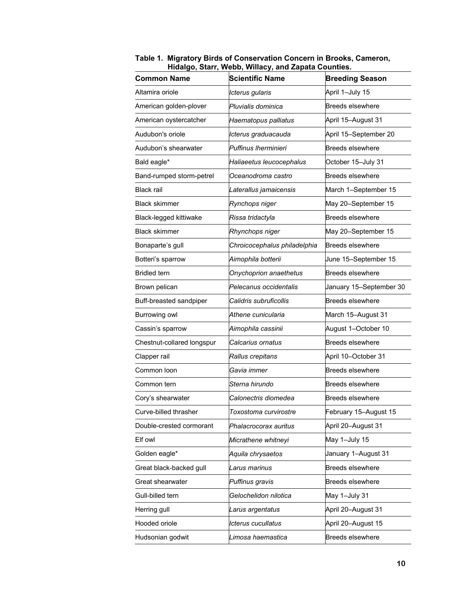|                            | $\cdots$ $\cdots$ $\cdots$   |                         |
|----------------------------|------------------------------|-------------------------|
| <b>Common Name</b>         | <b>Scientific Name</b>       | <b>Breeding Season</b>  |
| Altamira oriole            | Icterus gularis              | April 1-July 15         |
| American golden-plover     | Pluvialis dominica           | <b>Breeds elsewhere</b> |
| American oystercatcher     | Haematopus palliatus         | April 15-August 31      |
| Audubon's oriole           | Icterus graduacauda          | April 15-September 20   |
| Audubon's shearwater       | Puffinus Iherminieri         | <b>Breeds elsewhere</b> |
| Bald eagle*                | Haliaeetus leucocephalus     | October 15-July 31      |
| Band-rumped storm-petrel   | Oceanodroma castro           | <b>Breeds elsewhere</b> |
| <b>Black rail</b>          | Laterallus jamaicensis       | March 1-September 15    |
| <b>Black skimmer</b>       | Rynchops niger               | May 20-September 15     |
| Black-legged kittiwake     | Rissa tridactyla             | <b>Breeds elsewhere</b> |
| <b>Black skimmer</b>       | Rhynchops niger              | May 20-September 15     |
| Bonaparte's gull           | Chroicocephalus philadelphia | <b>Breeds elsewhere</b> |
| Botteri's sparrow          | Aimophila botterii           | June 15-September 15    |
| <b>Bridled</b> tern        | Onychoprion anaethetus       | <b>Breeds elsewhere</b> |
| Brown pelican              | Pelecanus occidentalis       | January 15–September 30 |
| Buff-breasted sandpiper    | Calidris subruficollis       | <b>Breeds elsewhere</b> |
| Burrowing owl              | Athene cunicularia           | March 15-August 31      |
| Cassin's sparrow           | Aimophila cassinii           | August 1-October 10     |
| Chestnut-collared longspur | Calcarius ornatus            | <b>Breeds elsewhere</b> |
| Clapper rail               | Rallus crepitans             | April 10-October 31     |
| Common loon                | Gavia immer                  | <b>Breeds elsewhere</b> |
| Common tern                | Sterna hirundo               | <b>Breeds elsewhere</b> |
| Cory's shearwater          | Calonectris diomedea         | <b>Breeds elsewhere</b> |
| Curve-billed thrasher      | Toxostoma curvirostre        | February 15-August 15   |
| Double-crested cormorant   | Phalacrocorax auritus        | April 20-August 31      |
| Elf owl                    | Micrathene whitneyi          | May 1-July 15           |
| Golden eagle*              | Aquila chrysaetos            | January 1–August 31     |
| Great black-backed gull    | Larus marinus                | <b>Breeds elsewhere</b> |
| Great shearwater           | Puffinus gravis              | <b>Breeds elsewhere</b> |
| Gull-billed tern           | Gelochelidon nilotica        | May 1-July 31           |
| Herring gull               | Larus argentatus             | April 20-August 31      |
| Hooded oriole              | Icterus cucullatus           | April 20-August 15      |
| Hudsonian godwit           | Limosa haemastica            | <b>Breeds elsewhere</b> |

**Table 1. Migratory Birds of Conservation Concern in Brooks, Cameron, Hidalgo, Starr, Webb, Willacy, and Zapata Counties.**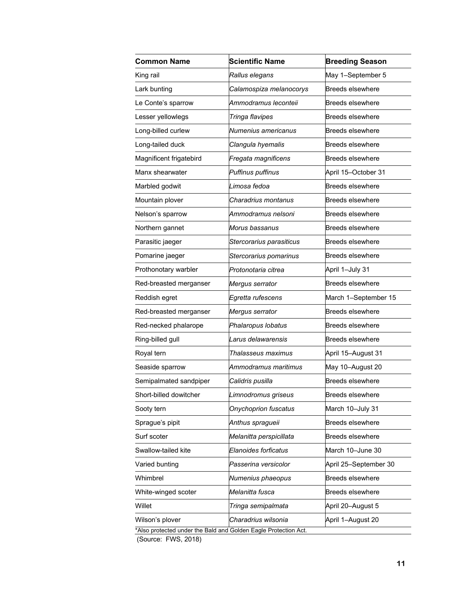| <b>Common Name</b>                                              | <b>Scientific Name</b>   | <b>Breeding Season</b>  |  |
|-----------------------------------------------------------------|--------------------------|-------------------------|--|
| King rail                                                       | Rallus elegans           | May 1-September 5       |  |
| Lark bunting                                                    | Calamospiza melanocorys  | <b>Breeds elsewhere</b> |  |
| Le Conte's sparrow                                              | Ammodramus leconteii     | <b>Breeds elsewhere</b> |  |
| Lesser yellowlegs                                               | Tringa flavipes          | <b>Breeds elsewhere</b> |  |
| Long-billed curlew                                              | Numenius americanus      | <b>Breeds elsewhere</b> |  |
| Long-tailed duck                                                | Clangula hyemalis        | <b>Breeds elsewhere</b> |  |
| Magnificent frigatebird                                         | Fregata magnificens      | <b>Breeds elsewhere</b> |  |
| Manx shearwater                                                 | Puffinus puffinus        | April 15-October 31     |  |
| Marbled godwit                                                  | Limosa fedoa             | <b>Breeds elsewhere</b> |  |
| Mountain plover                                                 | Charadrius montanus      | <b>Breeds elsewhere</b> |  |
| Nelson's sparrow                                                | Ammodramus nelsoni       | <b>Breeds elsewhere</b> |  |
| Northern gannet                                                 | Morus bassanus           | <b>Breeds elsewhere</b> |  |
| Parasitic jaeger                                                | Stercorarius parasiticus | <b>Breeds elsewhere</b> |  |
| Pomarine jaeger                                                 | Stercorarius pomarinus   | <b>Breeds elsewhere</b> |  |
| Prothonotary warbler                                            | Protonotaria citrea      | April 1-July 31         |  |
| Red-breasted merganser                                          | Mergus serrator          | <b>Breeds elsewhere</b> |  |
| Reddish egret                                                   | Egretta rufescens        | March 1-September 15    |  |
| Red-breasted merganser                                          | Mergus serrator          | <b>Breeds elsewhere</b> |  |
| Red-necked phalarope                                            | Phalaropus lobatus       | <b>Breeds elsewhere</b> |  |
| Ring-billed gull                                                | Larus delawarensis       | <b>Breeds elsewhere</b> |  |
| Royal tern                                                      | Thalasseus maximus       | April 15-August 31      |  |
| Seaside sparrow                                                 | Ammodramus maritimus     | May 10-August 20        |  |
| Semipalmated sandpiper                                          | Calidris pusilla         | <b>Breeds elsewhere</b> |  |
| Short-billed dowitcher                                          | Limnodromus griseus      | <b>Breeds elsewhere</b> |  |
| Sooty tern                                                      | Onychoprion fuscatus     | March 10-July 31        |  |
| Sprague's pipit                                                 | Anthus spragueii         | <b>Breeds elsewhere</b> |  |
| Surf scoter                                                     | Melanitta perspicillata  | Breeds elsewhere        |  |
| Swallow-tailed kite                                             | Elanoides forficatus     | March 10-June 30        |  |
| Varied bunting                                                  | Passerina versicolor     | April 25-September 30   |  |
| Whimbrel                                                        | Numenius phaeopus        | <b>Breeds elsewhere</b> |  |
| White-winged scoter                                             | Melanitta fusca          | <b>Breeds elsewhere</b> |  |
| Willet                                                          | Tringa semipalmata       | April 20-August 5       |  |
| Wilson's plover                                                 | Charadrius wilsonia      | April 1-August 20       |  |
| *Also protected under the Bald and Golden Eagle Protection Act. |                          |                         |  |

(Source: FWS, 2018)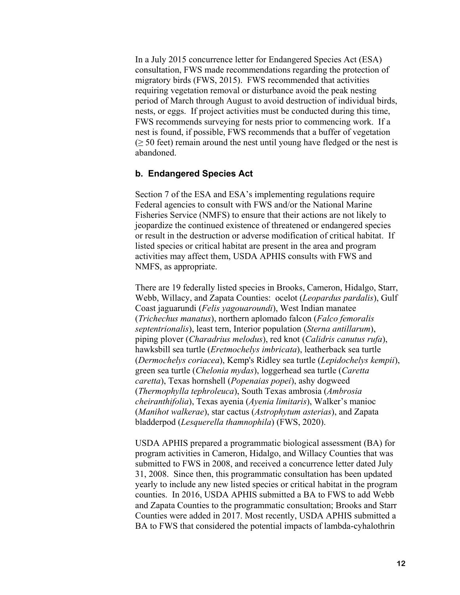In a July 2015 concurrence letter for Endangered Species Act (ESA) consultation, FWS made recommendations regarding the protection of migratory birds (FWS, 2015). FWS recommended that activities requiring vegetation removal or disturbance avoid the peak nesting period of March through August to avoid destruction of individual birds, nests, or eggs. If project activities must be conducted during this time, FWS recommends surveying for nests prior to commencing work. If a nest is found, if possible, FWS recommends that a buffer of vegetation  $(≥ 50 feet)$  remain around the nest until young have fledged or the nest is abandoned.

#### **b. Endangered Species Act**

Section 7 of the ESA and ESA's implementing regulations require Federal agencies to consult with FWS and/or the National Marine Fisheries Service (NMFS) to ensure that their actions are not likely to jeopardize the continued existence of threatened or endangered species or result in the destruction or adverse modification of critical habitat. If listed species or critical habitat are present in the area and program activities may affect them, USDA APHIS consults with FWS and NMFS, as appropriate.

There are 19 federally listed species in Brooks, Cameron, Hidalgo, Starr, Webb, Willacy, and Zapata Counties: ocelot (*Leopardus pardalis*), Gulf Coast jaguarundi (*Felis yagouaroundi*), West Indian manatee (*Trichechus manatus*), northern aplomado falcon (*Falco femoralis septentrionalis*), least tern, Interior population (*Sterna antillarum*), piping plover (*Charadrius melodus*), red knot (*Calidris canutus rufa*), hawksbill sea turtle (*Eretmochelys imbricata*), leatherback sea turtle (*Dermochelys coriacea*), Kemp's Ridley sea turtle (*Lepidochelys kempii*), green sea turtle (*Chelonia mydas*), loggerhead sea turtle (*Caretta caretta*), Texas hornshell (*Popenaias popei*), ashy dogweed (*Thermophylla tephroleuca*), South Texas ambrosia (*Ambrosia cheiranthifolia*), Texas ayenia (*Ayenia limitaris*), Walker's manioc (*Manihot walkerae*), star cactus (*Astrophytum asterias*), and Zapata bladderpod (*Lesquerella thamnophila*) (FWS, 2020).

USDA APHIS prepared a programmatic biological assessment (BA) for program activities in Cameron, Hidalgo, and Willacy Counties that was submitted to FWS in 2008, and received a concurrence letter dated July 31, 2008. Since then, this programmatic consultation has been updated yearly to include any new listed species or critical habitat in the program counties. In 2016, USDA APHIS submitted a BA to FWS to add Webb and Zapata Counties to the programmatic consultation; Brooks and Starr Counties were added in 2017. Most recently, USDA APHIS submitted a BA to FWS that considered the potential impacts of lambda-cyhalothrin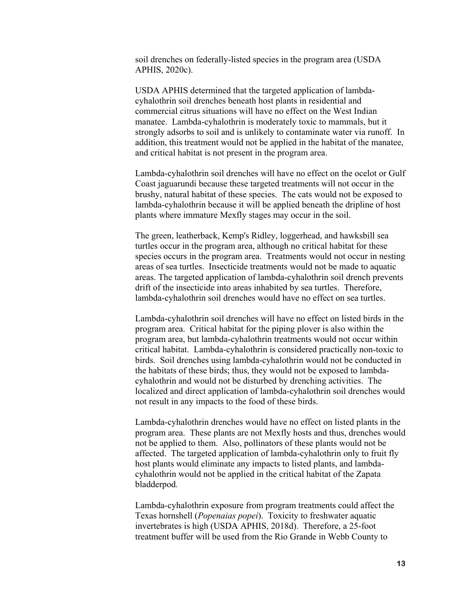soil drenches on federally-listed species in the program area (USDA APHIS, 2020c).

USDA APHIS determined that the targeted application of lambdacyhalothrin soil drenches beneath host plants in residential and commercial citrus situations will have no effect on the West Indian manatee. Lambda-cyhalothrin is moderately toxic to mammals, but it strongly adsorbs to soil and is unlikely to contaminate water via runoff. In addition, this treatment would not be applied in the habitat of the manatee, and critical habitat is not present in the program area.

Lambda-cyhalothrin soil drenches will have no effect on the ocelot or Gulf Coast jaguarundi because these targeted treatments will not occur in the brushy, natural habitat of these species. The cats would not be exposed to lambda-cyhalothrin because it will be applied beneath the dripline of host plants where immature Mexfly stages may occur in the soil.

The green, leatherback, Kemp's Ridley, loggerhead, and hawksbill sea turtles occur in the program area, although no critical habitat for these species occurs in the program area. Treatments would not occur in nesting areas of sea turtles. Insecticide treatments would not be made to aquatic areas. The targeted application of lambda-cyhalothrin soil drench prevents drift of the insecticide into areas inhabited by sea turtles. Therefore, lambda-cyhalothrin soil drenches would have no effect on sea turtles.

Lambda-cyhalothrin soil drenches will have no effect on listed birds in the program area. Critical habitat for the piping plover is also within the program area, but lambda-cyhalothrin treatments would not occur within critical habitat. Lambda-cyhalothrin is considered practically non-toxic to birds. Soil drenches using lambda-cyhalothrin would not be conducted in the habitats of these birds; thus, they would not be exposed to lambdacyhalothrin and would not be disturbed by drenching activities. The localized and direct application of lambda-cyhalothrin soil drenches would not result in any impacts to the food of these birds.

Lambda-cyhalothrin drenches would have no effect on listed plants in the program area. These plants are not Mexfly hosts and thus, drenches would not be applied to them. Also, pollinators of these plants would not be affected. The targeted application of lambda-cyhalothrin only to fruit fly host plants would eliminate any impacts to listed plants, and lambdacyhalothrin would not be applied in the critical habitat of the Zapata bladderpod*.*

Lambda-cyhalothrin exposure from program treatments could affect the Texas hornshell (*Popenaias popei*). Toxicity to freshwater aquatic invertebrates is high (USDA APHIS, 2018d). Therefore, a 25-foot treatment buffer will be used from the Rio Grande in Webb County to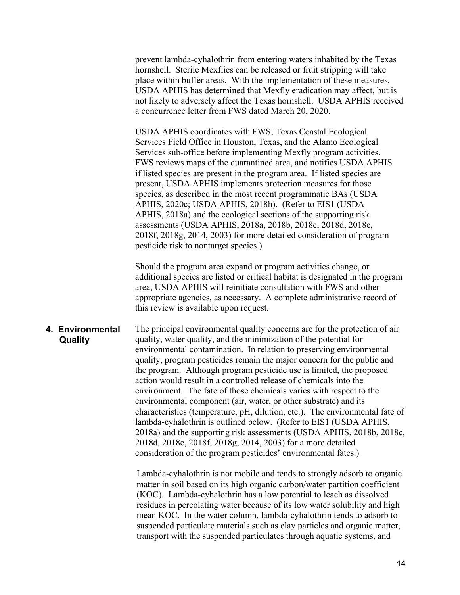prevent lambda-cyhalothrin from entering waters inhabited by the Texas hornshell. Sterile Mexflies can be released or fruit stripping will take place within buffer areas. With the implementation of these measures, USDA APHIS has determined that Mexfly eradication may affect, but is not likely to adversely affect the Texas hornshell. USDA APHIS received a concurrence letter from FWS dated March 20, 2020.

USDA APHIS coordinates with FWS, Texas Coastal Ecological Services Field Office in Houston, Texas, and the Alamo Ecological Services sub-office before implementing Mexfly program activities. FWS reviews maps of the quarantined area, and notifies USDA APHIS if listed species are present in the program area. If listed species are present, USDA APHIS implements protection measures for those species, as described in the most recent programmatic BAs (USDA APHIS, 2020c; USDA APHIS, 2018h). (Refer to EIS1 (USDA APHIS, 2018a) and the ecological sections of the supporting risk assessments (USDA APHIS, 2018a, 2018b, 2018c, 2018d, 2018e, 2018f, 2018g, 2014, 2003) for more detailed consideration of program pesticide risk to nontarget species.)

Should the program area expand or program activities change, or additional species are listed or critical habitat is designated in the program area, USDA APHIS will reinitiate consultation with FWS and other appropriate agencies, as necessary. A complete administrative record of this review is available upon request.

#### **4. Environmental Quality**

The principal environmental quality concerns are for the protection of air quality, water quality, and the minimization of the potential for environmental contamination. In relation to preserving environmental quality, program pesticides remain the major concern for the public and the program. Although program pesticide use is limited, the proposed action would result in a controlled release of chemicals into the environment. The fate of those chemicals varies with respect to the environmental component (air, water, or other substrate) and its characteristics (temperature, pH, dilution, etc.). The environmental fate of lambda-cyhalothrin is outlined below. (Refer to EIS1 (USDA APHIS, 2018a) and the supporting risk assessments (USDA APHIS, 2018b, 2018c, 2018d, 2018e, 2018f, 2018g, 2014, 2003) for a more detailed consideration of the program pesticides' environmental fates.)

Lambda-cyhalothrin is not mobile and tends to strongly adsorb to organic matter in soil based on its high organic carbon/water partition coefficient (KOC). Lambda-cyhalothrin has a low potential to leach as dissolved residues in percolating water because of its low water solubility and high mean KOC. In the water column, lambda-cyhalothrin tends to adsorb to suspended particulate materials such as clay particles and organic matter, transport with the suspended particulates through aquatic systems, and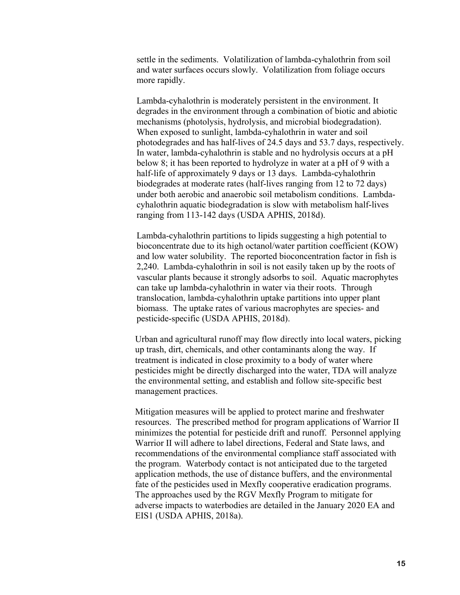settle in the sediments. Volatilization of lambda-cyhalothrin from soil and water surfaces occurs slowly. Volatilization from foliage occurs more rapidly.

Lambda-cyhalothrin is moderately persistent in the environment. It degrades in the environment through a combination of biotic and abiotic mechanisms (photolysis, hydrolysis, and microbial biodegradation). When exposed to sunlight, lambda-cyhalothrin in water and soil photodegrades and has half-lives of 24.5 days and 53.7 days, respectively. In water, lambda-cyhalothrin is stable and no hydrolysis occurs at a pH below 8; it has been reported to hydrolyze in water at a pH of 9 with a half-life of approximately 9 days or 13 days. Lambda-cyhalothrin biodegrades at moderate rates (half-lives ranging from 12 to 72 days) under both aerobic and anaerobic soil metabolism conditions. Lambdacyhalothrin aquatic biodegradation is slow with metabolism half-lives ranging from 113-142 days (USDA APHIS, 2018d).

Lambda-cyhalothrin partitions to lipids suggesting a high potential to bioconcentrate due to its high octanol/water partition coefficient (KOW) and low water solubility. The reported bioconcentration factor in fish is 2,240. Lambda-cyhalothrin in soil is not easily taken up by the roots of vascular plants because it strongly adsorbs to soil. Aquatic macrophytes can take up lambda-cyhalothrin in water via their roots. Through translocation, lambda-cyhalothrin uptake partitions into upper plant biomass. The uptake rates of various macrophytes are species- and pesticide-specific (USDA APHIS, 2018d).

Urban and agricultural runoff may flow directly into local waters, picking up trash, dirt, chemicals, and other contaminants along the way. If treatment is indicated in close proximity to a body of water where pesticides might be directly discharged into the water, TDA will analyze the environmental setting, and establish and follow site-specific best management practices.

Mitigation measures will be applied to protect marine and freshwater resources. The prescribed method for program applications of Warrior II minimizes the potential for pesticide drift and runoff. Personnel applying Warrior II will adhere to label directions, Federal and State laws, and recommendations of the environmental compliance staff associated with the program. Waterbody contact is not anticipated due to the targeted application methods, the use of distance buffers, and the environmental fate of the pesticides used in Mexfly cooperative eradication programs. The approaches used by the RGV Mexfly Program to mitigate for adverse impacts to waterbodies are detailed in the January 2020 EA and EIS1 (USDA APHIS, 2018a).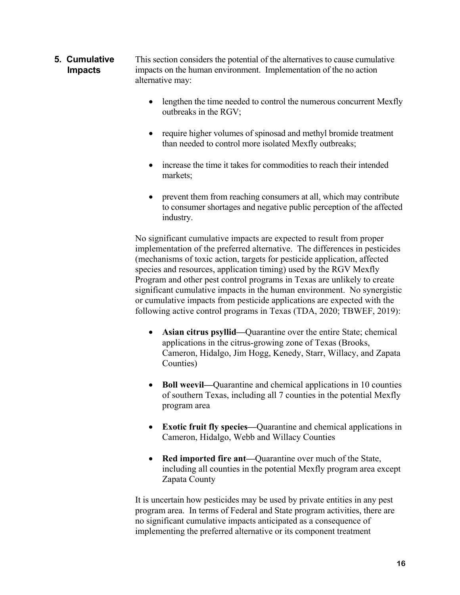- This section considers the potential of the alternatives to cause cumulative impacts on the human environment. Implementation of the no action alternative may: **5. Cumulative Impacts**
	- lengthen the time needed to control the numerous concurrent Mexfly outbreaks in the RGV;
	- require higher volumes of spinosad and methyl bromide treatment than needed to control more isolated Mexfly outbreaks;
	- increase the time it takes for commodities to reach their intended markets;
	- prevent them from reaching consumers at all, which may contribute to consumer shortages and negative public perception of the affected industry.

No significant cumulative impacts are expected to result from proper implementation of the preferred alternative. The differences in pesticides (mechanisms of toxic action, targets for pesticide application, affected species and resources, application timing) used by the RGV Mexfly Program and other pest control programs in Texas are unlikely to create significant cumulative impacts in the human environment. No synergistic or cumulative impacts from pesticide applications are expected with the following active control programs in Texas (TDA, 2020; TBWEF, 2019):

- **Asian citrus psyllid—**Quarantine over the entire State; chemical applications in the citrus-growing zone of Texas (Brooks, Cameron, Hidalgo, Jim Hogg, Kenedy, Starr, Willacy, and Zapata Counties)
- **Boll weevil—**Quarantine and chemical applications in 10 counties of southern Texas, including all 7 counties in the potential Mexfly program area
- **Exotic fruit fly species—**Quarantine and chemical applications in Cameron, Hidalgo, Webb and Willacy Counties
- **Red imported fire ant—**Quarantine over much of the State, including all counties in the potential Mexfly program area except Zapata County

It is uncertain how pesticides may be used by private entities in any pest program area. In terms of Federal and State program activities, there are no significant cumulative impacts anticipated as a consequence of implementing the preferred alternative or its component treatment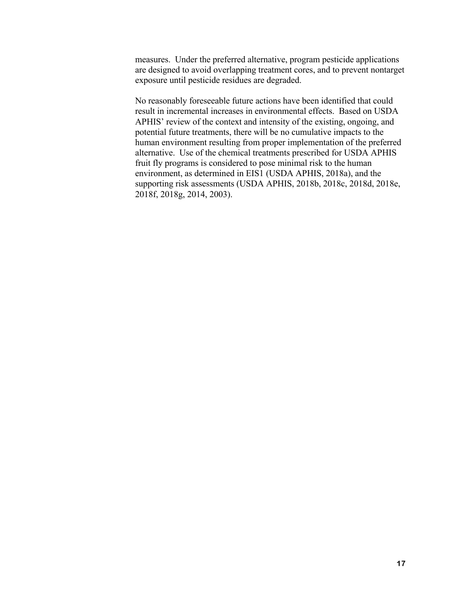measures. Under the preferred alternative, program pesticide applications are designed to avoid overlapping treatment cores, and to prevent nontarget exposure until pesticide residues are degraded.

No reasonably foreseeable future actions have been identified that could result in incremental increases in environmental effects. Based on USDA APHIS' review of the context and intensity of the existing, ongoing, and potential future treatments, there will be no cumulative impacts to the human environment resulting from proper implementation of the preferred alternative. Use of the chemical treatments prescribed for USDA APHIS fruit fly programs is considered to pose minimal risk to the human environment, as determined in EIS1 (USDA APHIS, 2018a), and the supporting risk assessments (USDA APHIS, 2018b, 2018c, 2018d, 2018e, 2018f, 2018g, 2014, 2003).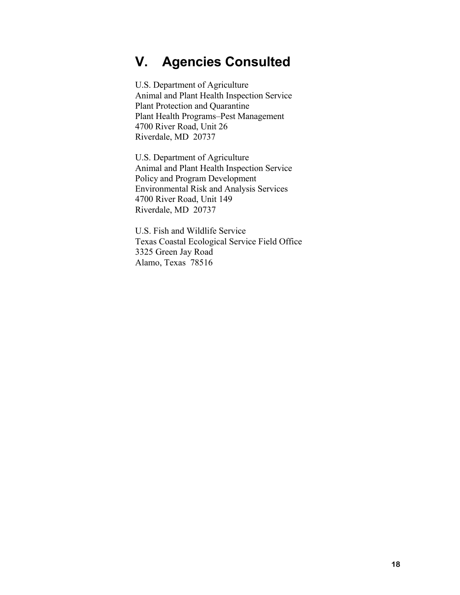# **V. Agencies Consulted**

U.S. Department of Agriculture Animal and Plant Health Inspection Service Plant Protection and Quarantine Plant Health Programs–Pest Management 4700 River Road, Unit 26 Riverdale, MD 20737

U.S. Department of Agriculture Animal and Plant Health Inspection Service Policy and Program Development Environmental Risk and Analysis Services 4700 River Road, Unit 149 Riverdale, MD 20737

U.S. Fish and Wildlife Service Texas Coastal Ecological Service Field Office 3325 Green Jay Road Alamo, Texas 78516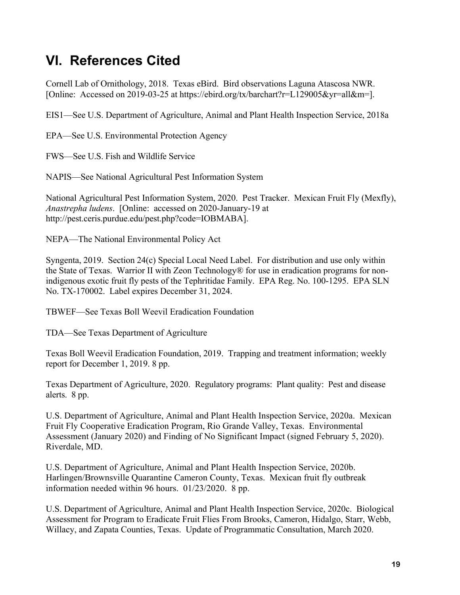# **VI. References Cited**

Cornell Lab of Ornithology, 2018. Texas eBird. Bird observations Laguna Atascosa NWR. [Online: Accessed on 2019-03-25 at https://ebird.org/tx/barchart?r=L129005&yr=all&m=].

EIS1—See U.S. Department of Agriculture, Animal and Plant Health Inspection Service, 2018a

EPA—See U.S. Environmental Protection Agency

FWS—See U.S. Fish and Wildlife Service

NAPIS—See National Agricultural Pest Information System

National Agricultural Pest Information System, 2020. Pest Tracker. Mexican Fruit Fly (Mexfly), *Anastrepha ludens*. [Online: accessed on 2020-January-19 at http://pest.ceris.purdue.edu/pest.php?code=IOBMABA].

NEPA—The National Environmental Policy Act

Syngenta, 2019. Section 24(c) Special Local Need Label. For distribution and use only within the State of Texas. Warrior II with Zeon Technology® for use in eradication programs for nonindigenous exotic fruit fly pests of the Tephritidae Family. EPA Reg. No. 100-1295. EPA SLN No. TX-170002. Label expires December 31, 2024.

TBWEF—See Texas Boll Weevil Eradication Foundation

TDA—See Texas Department of Agriculture

Texas Boll Weevil Eradication Foundation, 2019. Trapping and treatment information; weekly report for December 1, 2019. 8 pp.

Texas Department of Agriculture, 2020. Regulatory programs: Plant quality: Pest and disease alerts. 8 pp.

U.S. Department of Agriculture, Animal and Plant Health Inspection Service, 2020a. Mexican Fruit Fly Cooperative Eradication Program, Rio Grande Valley, Texas. Environmental Assessment (January 2020) and Finding of No Significant Impact (signed February 5, 2020). Riverdale, MD.

U.S. Department of Agriculture, Animal and Plant Health Inspection Service, 2020b. Harlingen/Brownsville Quarantine Cameron County, Texas. Mexican fruit fly outbreak information needed within 96 hours. 01/23/2020. 8 pp.

U.S. Department of Agriculture, Animal and Plant Health Inspection Service, 2020c. Biological Assessment for Program to Eradicate Fruit Flies From Brooks, Cameron, Hidalgo, Starr, Webb, Willacy, and Zapata Counties, Texas. Update of Programmatic Consultation, March 2020.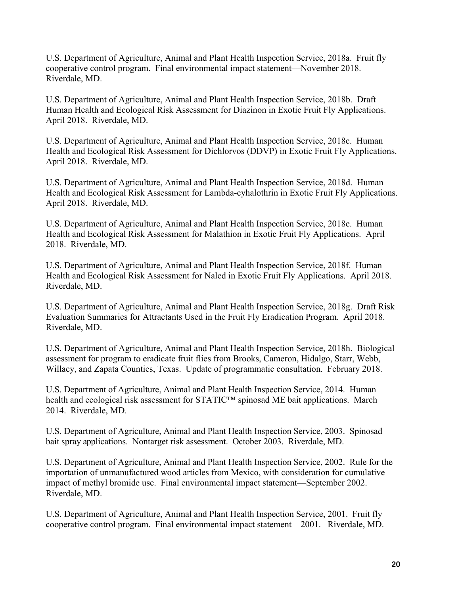U.S. Department of Agriculture, Animal and Plant Health Inspection Service, 2018a. Fruit fly cooperative control program. Final environmental impact statement—November 2018. Riverdale, MD.

U.S. Department of Agriculture, Animal and Plant Health Inspection Service, 2018b. Draft Human Health and Ecological Risk Assessment for Diazinon in Exotic Fruit Fly Applications. April 2018. Riverdale, MD.

U.S. Department of Agriculture, Animal and Plant Health Inspection Service, 2018c. Human Health and Ecological Risk Assessment for Dichlorvos (DDVP) in Exotic Fruit Fly Applications. April 2018. Riverdale, MD.

U.S. Department of Agriculture, Animal and Plant Health Inspection Service, 2018d. Human Health and Ecological Risk Assessment for Lambda-cyhalothrin in Exotic Fruit Fly Applications. April 2018. Riverdale, MD.

U.S. Department of Agriculture, Animal and Plant Health Inspection Service, 2018e. Human Health and Ecological Risk Assessment for Malathion in Exotic Fruit Fly Applications. April 2018. Riverdale, MD.

U.S. Department of Agriculture, Animal and Plant Health Inspection Service, 2018f. Human Health and Ecological Risk Assessment for Naled in Exotic Fruit Fly Applications. April 2018. Riverdale, MD.

U.S. Department of Agriculture, Animal and Plant Health Inspection Service, 2018g. Draft Risk Evaluation Summaries for Attractants Used in the Fruit Fly Eradication Program. April 2018. Riverdale, MD.

U.S. Department of Agriculture, Animal and Plant Health Inspection Service, 2018h. Biological assessment for program to eradicate fruit flies from Brooks, Cameron, Hidalgo, Starr, Webb, Willacy, and Zapata Counties, Texas. Update of programmatic consultation. February 2018.

U.S. Department of Agriculture, Animal and Plant Health Inspection Service, 2014. Human health and ecological risk assessment for STATIC™ spinosad ME bait applications. March 2014. Riverdale, MD.

U.S. Department of Agriculture, Animal and Plant Health Inspection Service, 2003. Spinosad bait spray applications. Nontarget risk assessment. October 2003. Riverdale, MD.

U.S. Department of Agriculture, Animal and Plant Health Inspection Service, 2002. Rule for the importation of unmanufactured wood articles from Mexico, with consideration for cumulative impact of methyl bromide use. Final environmental impact statement—September 2002. Riverdale, MD.

U.S. Department of Agriculture, Animal and Plant Health Inspection Service, 2001. Fruit fly cooperative control program. Final environmental impact statement—2001. Riverdale, MD.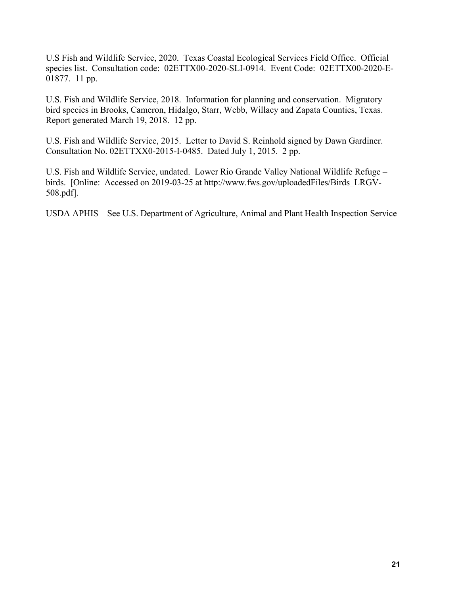U.S Fish and Wildlife Service, 2020. Texas Coastal Ecological Services Field Office. Official species list. Consultation code: 02ETTX00-2020-SLI-0914. Event Code: 02ETTX00-2020-E-01877. 11 pp.

U.S. Fish and Wildlife Service, 2018. Information for planning and conservation. Migratory bird species in Brooks, Cameron, Hidalgo, Starr, Webb, Willacy and Zapata Counties, Texas. Report generated March 19, 2018. 12 pp.

U.S. Fish and Wildlife Service, 2015. Letter to David S. Reinhold signed by Dawn Gardiner. Consultation No. 02ETTXX0-2015-I-0485. Dated July 1, 2015. 2 pp.

U.S. Fish and Wildlife Service, undated. Lower Rio Grande Valley National Wildlife Refuge – birds. [Online: Accessed on 2019-03-25 at http://www.fws.gov/uploadedFiles/Birds\_LRGV-508.pdf].

USDA APHIS—See U.S. Department of Agriculture, Animal and Plant Health Inspection Service